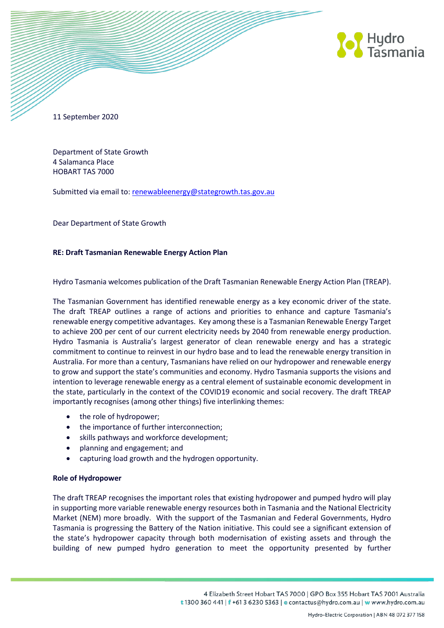

11 September 2020

Department of State Growth 4 Salamanca Place HOBART TAS 7000

Submitted via email to: [renewableenergy@stategrowth.tas.gov.au](mailto:renewableenergy@stategrowth.tas.gov.au)

Dear Department of State Growth

# **RE: Draft Tasmanian Renewable Energy Action Plan**

Hydro Tasmania welcomes publication of the Draft Tasmanian Renewable Energy Action Plan (TREAP).

The Tasmanian Government has identified renewable energy as a key economic driver of the state. The draft TREAP outlines a range of actions and priorities to enhance and capture Tasmania's renewable energy competitive advantages. Key among these is a Tasmanian Renewable Energy Target to achieve 200 per cent of our current electricity needs by 2040 from renewable energy production. Hydro Tasmania is Australia's largest generator of clean renewable energy and has a strategic commitment to continue to reinvest in our hydro base and to lead the renewable energy transition in Australia. For more than a century, Tasmanians have relied on our hydropower and renewable energy to grow and support the state's communities and economy. Hydro Tasmania supports the visions and intention to leverage renewable energy as a central element of sustainable economic development in the state, particularly in the context of the COVID19 economic and social recovery. The draft TREAP importantly recognises (among other things) five interlinking themes:

- the role of hydropower;
- the importance of further interconnection;
- skills pathways and workforce development;
- planning and engagement; and
- capturing load growth and the hydrogen opportunity.

# **Role of Hydropower**

The draft TREAP recognises the important roles that existing hydropower and pumped hydro will play in supporting more variable renewable energy resources both in Tasmania and the National Electricity Market (NEM) more broadly. With the support of the Tasmanian and Federal Governments, Hydro Tasmania is progressing the Battery of the Nation initiative. This could see a significant extension of the state's hydropower capacity through both modernisation of existing assets and through the building of new pumped hydro generation to meet the opportunity presented by further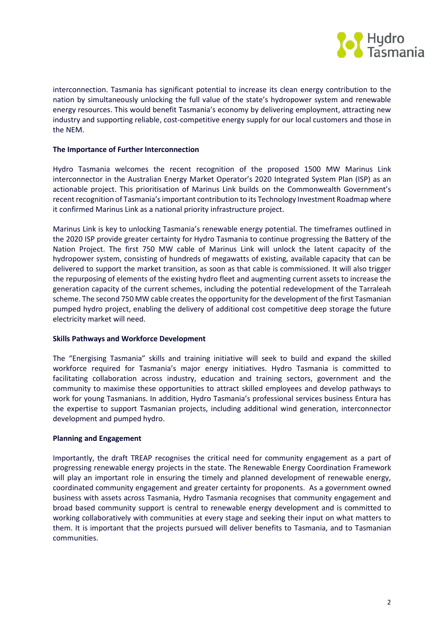

interconnection. Tasmania has significant potential to increase its clean energy contribution to the nation by simultaneously unlocking the full value of the state's hydropower system and renewable energy resources. This would benefit Tasmania's economy by delivering employment, attracting new industry and supporting reliable, cost-competitive energy supply for our local customers and those in the NEM.

### **The Importance of Further Interconnection**

Hydro Tasmania welcomes the recent recognition of the proposed 1500 MW Marinus Link interconnector in the Australian Energy Market Operator's 2020 Integrated System Plan (ISP) as an actionable project. This prioritisation of Marinus Link builds on the Commonwealth Government's recent recognition of Tasmania's important contribution to its Technology Investment Roadmap where it confirmed Marinus Link as a national priority infrastructure project.

Marinus Link is key to unlocking Tasmania's renewable energy potential. The timeframes outlined in the 2020 ISP provide greater certainty for Hydro Tasmania to continue progressing the Battery of the Nation Project. The first 750 MW cable of Marinus Link will unlock the latent capacity of the hydropower system, consisting of hundreds of megawatts of existing, available capacity that can be delivered to support the market transition, as soon as that cable is commissioned. It will also trigger the repurposing of elements of the existing hydro fleet and augmenting current assets to increase the generation capacity of the current schemes, including the potential redevelopment of the Tarraleah scheme. The second 750 MW cable creates the opportunity for the development of the first Tasmanian pumped hydro project, enabling the delivery of additional cost competitive deep storage the future electricity market will need.

#### **Skills Pathways and Workforce Development**

The "Energising Tasmania" skills and training initiative will seek to build and expand the skilled workforce required for Tasmania's major energy initiatives. Hydro Tasmania is committed to facilitating collaboration across industry, education and training sectors, government and the community to maximise these opportunities to attract skilled employees and develop pathways to work for young Tasmanians. In addition, Hydro Tasmania's professional services business Entura has the expertise to support Tasmanian projects, including additional wind generation, interconnector development and pumped hydro.

# **Planning and Engagement**

Importantly, the draft TREAP recognises the critical need for community engagement as a part of progressing renewable energy projects in the state. The Renewable Energy Coordination Framework will play an important role in ensuring the timely and planned development of renewable energy, coordinated community engagement and greater certainty for proponents. As a government owned business with assets across Tasmania, Hydro Tasmania recognises that community engagement and broad based community support is central to renewable energy development and is committed to working collaboratively with communities at every stage and seeking their input on what matters to them. It is important that the projects pursued will deliver benefits to Tasmania, and to Tasmanian communities.